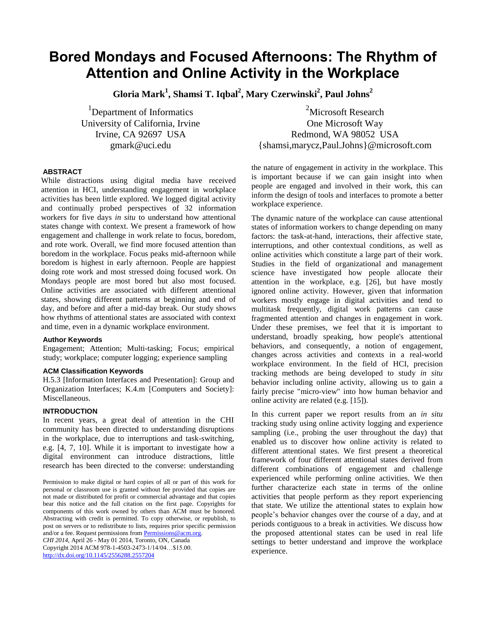# **Bored Mondays and Focused Afternoons: The Rhythm of Attention and Online Activity in the Workplace**

**Gloria Mark<sup>1</sup> , Shamsi T. Iqbal<sup>2</sup> , Mary Czerwinski<sup>2</sup> , Paul Johns<sup>2</sup>**

<sup>1</sup>Department of Informatics University of California, Irvine Irvine, CA 92697 USA gmark@uci.edu

<sup>2</sup>Microsoft Research One Microsoft Way Redmond, WA 98052 USA {shamsi,marycz,Paul.Johns}@microsoft.com

## **ABSTRACT**

While distractions using digital media have received attention in HCI, understanding engagement in workplace activities has been little explored. We logged digital activity and continually probed perspectives of 32 information workers for five days *in situ* to understand how attentional states change with context. We present a framework of how engagement and challenge in work relate to focus, boredom, and rote work. Overall, we find more focused attention than boredom in the workplace. Focus peaks mid-afternoon while boredom is highest in early afternoon. People are happiest doing rote work and most stressed doing focused work. On Mondays people are most bored but also most focused. Online activities are associated with different attentional states, showing different patterns at beginning and end of day, and before and after a mid-day break. Our study shows how rhythms of attentional states are associated with context and time, even in a dynamic workplace environment.

## **Author Keywords**

Engagement; Attention; Multi-tasking; Focus; empirical study; workplace; computer logging; experience sampling

# **ACM Classification Keywords**

H.5.3 [Information Interfaces and Presentation]: Group and Organization Interfaces; K.4.m [Computers and Society]: Miscellaneous.

# **INTRODUCTION**

In recent years, a great deal of attention in the CHI community has been directed to understanding disruptions in the workplace, due to interruptions and task-switching, e.g. [\[4,](#page-9-0) [7,](#page-9-1) [10\]](#page-9-2). While it is important to investigate how a digital environment can introduce distractions, little research has been directed to the converse: understanding

Permission to make digital or hard copies of all or part of this work for personal or classroom use is granted without fee provided that copies are not made or distributed for profit or commercial advantage and that copies bear this notice and the full citation on the first page. Copyrights for components of this work owned by others than ACM must be honored. Abstracting with credit is permitted. To copy otherwise, or republish, to post on servers or to redistribute to lists, requires prior specific permission and/or a fee. Request permissions from Permissions@acm.org. *CHI 2014,* April 26 - May 01 2014, Toronto, ON, Canada Copyright 2014 ACM 978-1-4503-2473-1/14/04…\$15.00. <http://dx.doi.org/10.1145/2556288.2557204>

the nature of engagement in activity in the workplace. This is important because if we can gain insight into when people are engaged and involved in their work, this can inform the design of tools and interfaces to promote a better workplace experience.

The dynamic nature of the workplace can cause attentional states of information workers to change depending on many factors: the task-at-hand, interactions, their affective state, interruptions, and other contextual conditions, as well as online activities which constitute a large part of their work. Studies in the field of organizational and management science have investigated how people allocate their attention in the workplace, e.g. [\[26\]](#page-9-3), but have mostly ignored online activity. However, given that information workers mostly engage in digital activities and tend to multitask frequently, digital work patterns can cause fragmented attention and changes in engagement in work. Under these premises, we feel that it is important to understand, broadly speaking, how people's attentional behaviors, and consequently, a notion of engagement, changes across activities and contexts in a real-world workplace environment. In the field of HCI, precision tracking methods are being developed to study *in situ* behavior including online activity, allowing us to gain a fairly precise "micro-view" into how human behavior and online activity are related (e.g. [\[15\]](#page-9-4)).

In this current paper we report results from an *in situ* tracking study using online activity logging and experience sampling (i.e., probing the user throughout the day) that enabled us to discover how online activity is related to different attentional states. We first present a theoretical framework of four different attentional states derived from different combinations of engagement and challenge experienced while performing online activities. We then further characterize each state in terms of the online activities that people perform as they report experiencing that state. We utilize the attentional states to explain how people's behavior changes over the course of a day, and at periods contiguous to a break in activities. We discuss how the proposed attentional states can be used in real life settings to better understand and improve the workplace experience.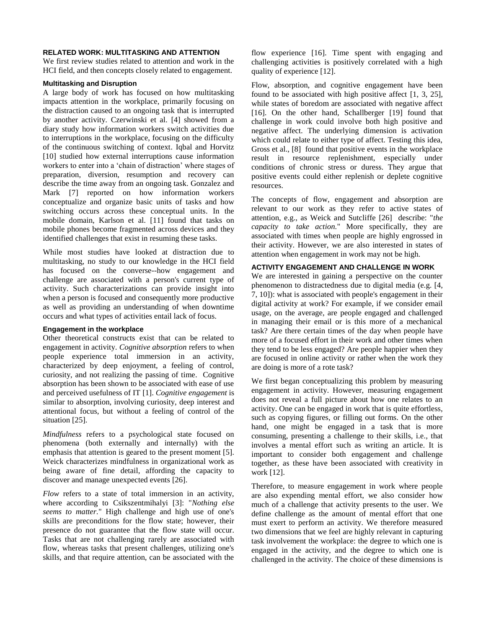#### **RELATED WORK: MULTITASKING AND ATTENTION**

We first review studies related to attention and work in the HCI field, and then concepts closely related to engagement.

#### **Multitasking and Disruption**

A large body of work has focused on how multitasking impacts attention in the workplace, primarily focusing on the distraction caused to an ongoing task that is interrupted by another activity. Czerwinski et al. [\[4\]](#page-9-0) showed from a diary study how information workers switch activities due to interruptions in the workplace, focusing on the difficulty of the continuous switching of context. Iqbal and Horvitz [\[10\]](#page-9-2) studied how external interruptions cause information workers to enter into a 'chain of distraction' where stages of preparation, diversion, resumption and recovery can describe the time away from an ongoing task. Gonzalez and Mark [\[7\]](#page-9-1) reported on how information workers conceptualize and organize basic units of tasks and how switching occurs across these conceptual units. In the mobile domain, Karlson et al. [\[11\]](#page-9-5) found that tasks on mobile phones become fragmented across devices and they identified challenges that exist in resuming these tasks.

While most studies have looked at distraction due to multitasking, no study to our knowledge in the HCI field has focused on the converse--how engagement and challenge are associated with a person's current type of activity. Such characterizations can provide insight into when a person is focused and consequently more productive as well as providing an understanding of when downtime occurs and what types of activities entail lack of focus.

#### **Engagement in the workplace**

Other theoretical constructs exist that can be related to engagement in activity. *Cognitive absorption* refers to when people experience total immersion in an activity, characterized by deep enjoyment, a feeling of control, curiosity, and not realizing the passing of time. Cognitive absorption has been shown to be associated with ease of use and perceived usefulness of IT [\[1\]](#page-9-6). *Cognitive engagement* is similar to absorption, involving curiosity, deep interest and attentional focus, but without a feeling of control of the situation [\[25\]](#page-9-7).

*Mindfulness* refers to a psychological state focused on phenomena (both externally and internally) with the emphasis that attention is geared to the present moment [\[5\]](#page-9-8). Weick characterizes mindfulness in organizational work as being aware of fine detail, affording the capacity to discover and manage unexpected events [\[26\]](#page-9-3).

*Flow* refers to a state of total immersion in an activity, where according to Csikszentmihalyi [\[3\]](#page-9-9): "*Nothing else seems to matter.*" High challenge and high use of one's skills are preconditions for the flow state; however, their presence do not guarantee that the flow state will occur. Tasks that are not challenging rarely are associated with flow, whereas tasks that present challenges, utilizing one's skills, and that require attention, can be associated with the

flow experience [\[16\]](#page-9-10). Time spent with engaging and challenging activities is positively correlated with a high quality of experience [\[12\]](#page-9-11).

Flow, absorption, and cognitive engagement have been found to be associated with high positive affect [\[1,](#page-9-6) [3,](#page-9-9) [25\]](#page-9-7), while states of boredom are associated with negative affect [\[16\]](#page-9-10). On the other hand, Schallberger [\[19\]](#page-9-12) found that challenge in work could involve both high positive and negative affect. The underlying dimension is activation which could relate to either type of affect. Testing this idea, Gross et al., [\[8\]](#page-9-13) found that positive events in the workplace result in resource replenishment, especially under conditions of chronic stress or duress. They argue that positive events could either replenish or deplete cognitive resources.

The concepts of flow, engagement and absorption are relevant to our work as they refer to active states of attention, e.g., as Weick and Sutcliffe [\[26\]](#page-9-3) describe: "*the capacity to take action.*" More specifically, they are associated with times when people are highly engrossed in their activity. However, we are also interested in states of attention when engagement in work may not be high.

## **ACTIVITY ENGAGEMENT AND CHALLENGE IN WORK**

We are interested in gaining a perspective on the counter phenomenon to distractedness due to digital media (e.g. [\[4,](#page-9-0) [7,](#page-9-1) [10\]](#page-9-2)): what is associated with people's engagement in their digital activity at work? For example, if we consider email usage, on the average, are people engaged and challenged in managing their email or is this more of a mechanical task? Are there certain times of the day when people have more of a focused effort in their work and other times when they tend to be less engaged? Are people happier when they are focused in online activity or rather when the work they are doing is more of a rote task?

We first began conceptualizing this problem by measuring engagement in activity. However, measuring engagement does not reveal a full picture about how one relates to an activity. One can be engaged in work that is quite effortless, such as copying figures, or filling out forms. On the other hand, one might be engaged in a task that is more consuming, presenting a challenge to their skills, i.e., that involves a mental effort such as writing an article. It is important to consider both engagement and challenge together, as these have been associated with creativity in work [\[12\]](#page-9-11).

Therefore, to measure engagement in work where people are also expending mental effort, we also consider how much of a challenge that activity presents to the user. We define challenge as the amount of mental effort that one must exert to perform an activity. We therefore measured two dimensions that we feel are highly relevant in capturing task involvement the workplace: the degree to which one is engaged in the activity, and the degree to which one is challenged in the activity. The choice of these dimensions is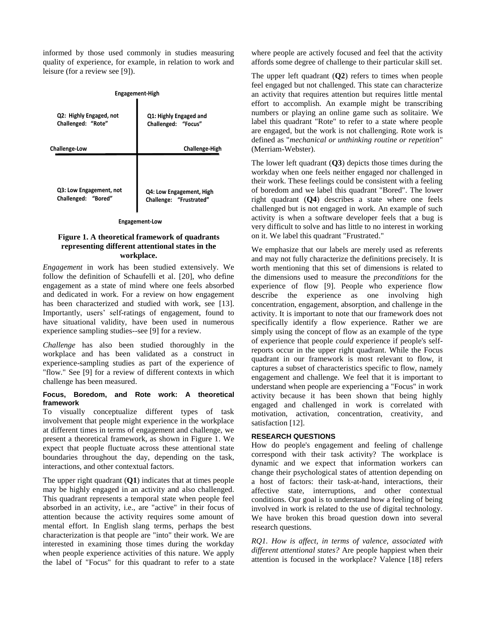informed by those used commonly in studies measuring quality of experience, for example, in relation to work and leisure (for a review see [\[9\]](#page-9-14)).

| Engagement-High         |                          |  |  |
|-------------------------|--------------------------|--|--|
| Q2: Highly Engaged, not | Q1: Highly Engaged and   |  |  |
| Challenged: "Rote"      | Challenged: "Focus"      |  |  |
| Challenge-Low           | <b>Challenge-High</b>    |  |  |
| Q3: Low Engagement, not | Q4: Low Engagement, High |  |  |
| Challenged: "Bored"     | Challenge: "Frustrated"  |  |  |

#### **Engagement-Low**

## **Figure 1. A theoretical framework of quadrants representing different attentional states in the workplace.**

*Engagement* in work has been studied extensively. We follow the definition of Schaufelli et al. [\[20\]](#page-9-15), who define engagement as a state of mind where one feels absorbed and dedicated in work. For a review on how engagement has been characterized and studied with work, see [\[13\]](#page-9-16). Importantly, users' self-ratings of engagement, found to have situational validity, have been used in numerous experience sampling studies--see [\[9\]](#page-9-14) for a review.

*Challenge* has also been studied thoroughly in the workplace and has been validated as a construct in experience-sampling studies as part of the experience of "flow." See [\[9\]](#page-9-14) for a review of different contexts in which challenge has been measured.

## **Focus, Boredom, and Rote work: A theoretical framework**

To visually conceptualize different types of task involvement that people might experience in the workplace at different times in terms of engagement and challenge, we present a theoretical framework, as shown in Figure 1. We expect that people fluctuate across these attentional state boundaries throughout the day, depending on the task, interactions, and other contextual factors.

The upper right quadrant (**Q1**) indicates that at times people may be highly engaged in an activity and also challenged. This quadrant represents a temporal state when people feel absorbed in an activity, i.e., are "active" in their focus of attention because the activity requires some amount of mental effort. In English slang terms, perhaps the best characterization is that people are "into" their work. We are interested in examining those times during the workday when people experience activities of this nature. We apply the label of "Focus" for this quadrant to refer to a state where people are actively focused and feel that the activity affords some degree of challenge to their particular skill set.

The upper left quadrant (**Q2**) refers to times when people feel engaged but not challenged. This state can characterize an activity that requires attention but requires little mental effort to accomplish. An example might be transcribing numbers or playing an online game such as solitaire. We label this quadrant "Rote" to refer to a state where people are engaged, but the work is not challenging. Rote work is defined as "*mechanical or unthinking routine or repetition*" (Merriam-Webster).

The lower left quadrant (**Q3**) depicts those times during the workday when one feels neither engaged nor challenged in their work. These feelings could be consistent with a feeling of boredom and we label this quadrant "Bored". The lower right quadrant (**Q4**) describes a state where one feels challenged but is not engaged in work. An example of such activity is when a software developer feels that a bug is very difficult to solve and has little to no interest in working on it. We label this quadrant "Frustrated."

We emphasize that our labels are merely used as referents and may not fully characterize the definitions precisely. It is worth mentioning that this set of dimensions is related to the dimensions used to measure the *preconditions* for the experience of flow [\[9\]](#page-9-14). People who experience flow describe the experience as one involving high concentration, engagement, absorption, and challenge in the activity. It is important to note that our framework does not specifically identify a flow experience. Rather we are simply using the concept of flow as an example of the type of experience that people *could* experience if people's selfreports occur in the upper right quadrant. While the Focus quadrant in our framework is most relevant to flow, it captures a subset of characteristics specific to flow, namely engagement and challenge. We feel that it is important to understand when people are experiencing a "Focus" in work activity because it has been shown that being highly engaged and challenged in work is correlated with motivation, activation, concentration, creativity, and satisfaction [\[12\]](#page-9-11).

## **RESEARCH QUESTIONS**

How do people's engagement and feeling of challenge correspond with their task activity? The workplace is dynamic and we expect that information workers can change their psychological states of attention depending on a host of factors: their task-at-hand, interactions, their affective state, interruptions, and other contextual conditions. Our goal is to understand how a feeling of being involved in work is related to the use of digital technology. We have broken this broad question down into several research questions.

*RQ1. How is affect, in terms of valence, associated with different attentional states?* Are people happiest when their attention is focused in the workplace? Valence [\[18\]](#page-9-17) refers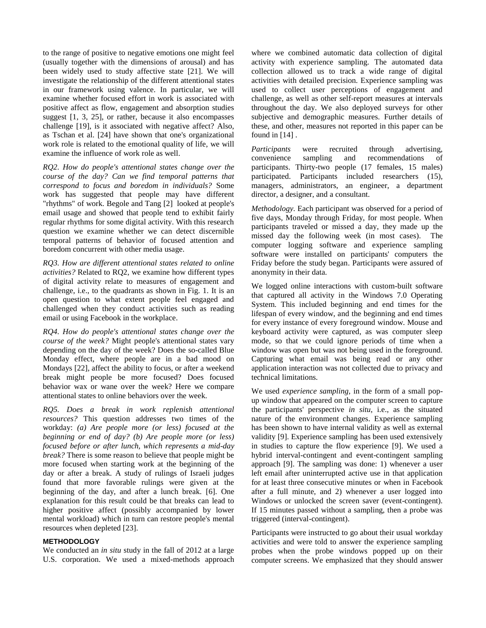to the range of positive to negative emotions one might feel (usually together with the dimensions of arousal) and has been widely used to study affective state [\[21\]](#page-9-18). We will investigate the relationship of the different attentional states in our framework using valence. In particular, we will examine whether focused effort in work is associated with positive affect as flow, engagement and absorption studies suggest [\[1,](#page-9-6) [3,](#page-9-9) [25\]](#page-9-7), or rather, because it also encompasses challenge [\[19\]](#page-9-12), is it associated with negative affect? Also, as Tschan et al. [\[24\]](#page-9-19) have shown that one's organizational work role is related to the emotional quality of life, we will examine the influence of work role as well.

*RQ2. How do people's attentional states change over the course of the day? Can we find temporal patterns that correspond to focus and boredom in individuals?* Some work has suggested that people may have different "rhythms" of work. Begole and Tang [\[2\]](#page-9-20) looked at people's email usage and showed that people tend to exhibit fairly regular rhythms for some digital activity. With this research question we examine whether we can detect discernible temporal patterns of behavior of focused attention and boredom concurrent with other media usage.

*RQ3. How are different attentional states related to online activities?* Related to RQ2, we examine how different types of digital activity relate to measures of engagement and challenge, i.e., to the quadrants as shown in Fig. 1. It is an open question to what extent people feel engaged and challenged when they conduct activities such as reading email or using Facebook in the workplace.

*RQ4. How do people's attentional states change over the course of the week?* Might people's attentional states vary depending on the day of the week? Does the so-called Blue Monday effect, where people are in a bad mood on Mondays [\[22\]](#page-9-21), affect the ability to focus, or after a weekend break might people be more focused? Does focused behavior wax or wane over the week? Here we compare attentional states to online behaviors over the week.

*RQ5. Does a break in work replenish attentional resources?* This question addresses two times of the workday: *(a) Are people more (or less) focused at the beginning or end of day? (b) Are people more (or less) focused before or after lunch, which represents a mid-day break?* There is some reason to believe that people might be more focused when starting work at the beginning of the day or after a break. A study of rulings of Israeli judges found that more favorable rulings were given at the beginning of the day, and after a lunch break. [\[6\]](#page-9-22). One explanation for this result could be that breaks can lead to higher positive affect (possibly accompanied by lower mental workload) which in turn can restore people's mental resources when depleted [\[23\]](#page-9-23).

## **METHODOLOGY**

We conducted an *in situ* study in the fall of 2012 at a large U.S. corporation. We used a mixed-methods approach where we combined automatic data collection of digital activity with experience sampling. The automated data collection allowed us to track a wide range of digital activities with detailed precision. Experience sampling was used to collect user perceptions of engagement and challenge, as well as other self-report measures at intervals throughout the day. We also deployed surveys for other subjective and demographic measures. Further details of these, and other, measures not reported in this paper can be found in  $[14]$ .

*Participants* were recruited through advertising, convenience sampling and recommendations of participants. Thirty-two people (17 females, 15 males) participated. Participants included researchers (15), managers, administrators, an engineer, a department director, a designer, and a consultant.

*Methodology.* Each participant was observed for a period of five days, Monday through Friday, for most people. When participants traveled or missed a day, they made up the missed day the following week (in most cases). The computer logging software and experience sampling software were installed on participants' computers the Friday before the study began. Participants were assured of anonymity in their data.

We logged online interactions with custom-built software that captured all activity in the Windows 7.0 Operating System. This included beginning and end times for the lifespan of every window, and the beginning and end times for every instance of every foreground window. Mouse and keyboard activity were captured, as was computer sleep mode, so that we could ignore periods of time when a window was open but was not being used in the foreground. Capturing what email was being read or any other application interaction was not collected due to privacy and technical limitations.

We used *experience sampling,* in the form of a small popup window that appeared on the computer screen to capture the participants' perspective *in situ*, i.e., as the situated nature of the environment changes. Experience sampling has been shown to have internal validity as well as external validity [\[9\]](#page-9-14). Experience sampling has been used extensively in studies to capture the flow experience [\[9\]](#page-9-14). We used a hybrid interval-contingent and event-contingent sampling approach [\[9\]](#page-9-14). The sampling was done: 1) whenever a user left email after uninterrupted active use in that application for at least three consecutive minutes or when in Facebook after a full minute, and 2) whenever a user logged into Windows or unlocked the screen saver (event-contingent). If 15 minutes passed without a sampling, then a probe was triggered (interval-contingent).

Participants were instructed to go about their usual workday activities and were told to answer the experience sampling probes when the probe windows popped up on their computer screens. We emphasized that they should answer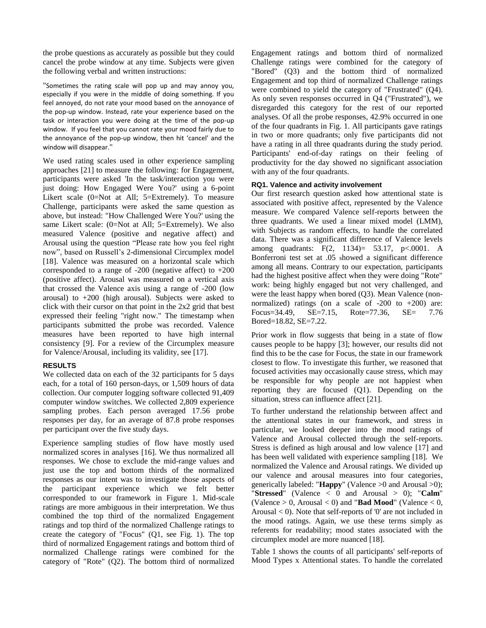the probe questions as accurately as possible but they could cancel the probe window at any time. Subjects were given the following verbal and written instructions:

"Sometimes the rating scale will pop up and may annoy you, especially if you were in the middle of doing something. If you feel annoyed, do not rate your mood based on the annoyance of the pop-up window. Instead, rate your experience based on the task or interaction you were doing at the time of the pop-up window. If you feel that you cannot rate your mood fairly due to the annoyance of the pop-up window, then hit 'cancel' and the window will disappear."

We used rating scales used in other experience sampling approaches [21] to measure the following: for Engagement, participants were asked 'In the task/interaction you were just doing: How Engaged Were You?' using a 6-point Likert scale (0=Not at All; 5=Extremely). To measure Challenge, participants were asked the same question as above, but instead: "How Challenged Were You?' using the same Likert scale: (0=Not at All; 5=Extremely). We also measured Valence (positive and negative affect) and Arousal using the question "Please rate how you feel right now", based on Russell's 2-dimensional Circumplex model [\[18\]](#page-9-17). Valence was measured on a horizontal scale which corresponded to a range of -200 (negative affect) to +200 (positive affect). Arousal was measured on a vertical axis that crossed the Valence axis using a range of -200 (low arousal) to  $+200$  (high arousal). Subjects were asked to click with their cursor on that point in the 2x2 grid that best expressed their feeling "right now." The timestamp when participants submitted the probe was recorded. Valence measures have been reported to have high internal consistency [\[9\]](#page-9-14). For a review of the Circumplex measure for Valence/Arousal, including its validity, see [\[17\]](#page-9-25).

# **RESULTS**

We collected data on each of the 32 participants for 5 days each, for a total of 160 person-days, or 1,509 hours of data collection. Our computer logging software collected 91,409 computer window switches. We collected 2,809 experience sampling probes. Each person averaged 17.56 probe responses per day, for an average of 87.8 probe responses per participant over the five study days.

Experience sampling studies of flow have mostly used normalized scores in analyses [\[16\]](#page-9-10). We thus normalized all responses. We chose to exclude the mid-range values and just use the top and bottom thirds of the normalized responses as our intent was to investigate those aspects of the participant experience which we felt better corresponded to our framework in Figure 1. Mid-scale ratings are more ambiguous in their interpretation. We thus combined the top third of the normalized Engagement ratings and top third of the normalized Challenge ratings to create the category of "Focus" (Q1, see Fig. 1). The top third of normalized Engagement ratings and bottom third of normalized Challenge ratings were combined for the category of "Rote" (Q2). The bottom third of normalized Engagement ratings and bottom third of normalized Challenge ratings were combined for the category of "Bored" (Q3) and the bottom third of normalized Engagement and top third of normalized Challenge ratings were combined to yield the category of "Frustrated" (Q4). As only seven responses occurred in Q4 ("Frustrated"), we disregarded this category for the rest of our reported analyses. Of all the probe responses, 42.9% occurred in one of the four quadrants in Fig. 1. All participants gave ratings in two or more quadrants; only five participants did not have a rating in all three quadrants during the study period. Participants' end-of-day ratings on their feeling of productivity for the day showed no significant association with any of the four quadrants.

## **RQ1. Valence and activity involvement**

Our first research question asked how attentional state is associated with positive affect, represented by the Valence measure. We compared Valence self-reports between the three quadrants. We used a linear mixed model (LMM), with Subjects as random effects, to handle the correlated data. There was a significant difference of Valence levels among quadrants: F(2, 1134)= 53.17, p<.0001. A Bonferroni test set at .05 showed a significant difference among all means. Contrary to our expectation, participants had the highest positive affect when they were doing "Rote" work: being highly engaged but not very challenged, and were the least happy when bored (Q3). Mean Valence (nonnormalized) ratings (on a scale of  $-200$  to  $+200$ ) are: Focus=34.49, SE=7.15, Rote=77.36, SE= 7.76 Bored=18.82, SE=7.22.

Prior work in flow suggests that being in a state of flow causes people to be happy [\[3\]](#page-9-9); however, our results did not find this to be the case for Focus, the state in our framework closest to flow. To investigate this further, we reasoned that focused activities may occasionally cause stress, which may be responsible for why people are not happiest when reporting they are focused (Q1). Depending on the situation, stress can influence affect [\[21\]](#page-9-18).

To further understand the relationship between affect and the attentional states in our framework, and stress in particular, we looked deeper into the mood ratings of Valence and Arousal collected through the self-reports. Stress is defined as high arousal and low valence [\[17\]](#page-9-25) and has been well validated with experience sampling [\[18\]](#page-9-17). We normalized the Valence and Arousal ratings. We divided up our valence and arousal measures into four categories, generically labeled: "**Happy**" (Valence >0 and Arousal >0); "**Stressed**" (Valence < 0 and Arousal > 0); "**Calm**" (Valence  $> 0$ , Arousal  $< 0$ ) and "**Bad Mood**" (Valence  $< 0$ , Arousal  $<$  0). Note that self-reports of '0' are not included in the mood ratings. Again, we use these terms simply as referents for readability; mood states associated with the circumplex model are more nuanced [18].

Table 1 shows the counts of all participants' self-reports of Mood Types x Attentional states. To handle the correlated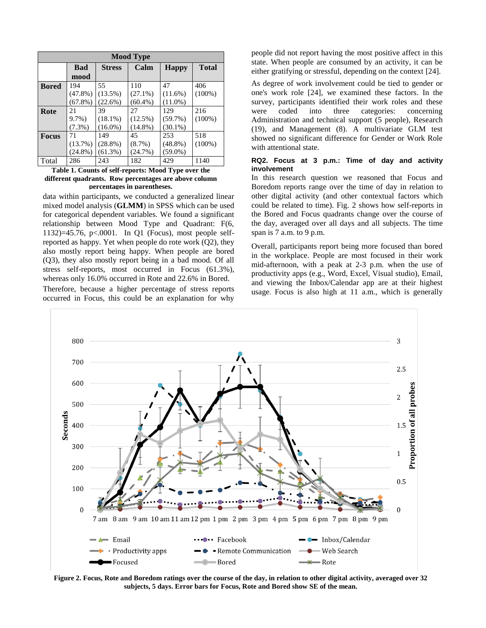| <b>Mood Type</b> |            |               |            |              |              |
|------------------|------------|---------------|------------|--------------|--------------|
|                  | <b>Bad</b> | <b>Stress</b> | Calm       | <b>Happy</b> | <b>Total</b> |
|                  | mood       |               |            |              |              |
| <b>Bored</b>     | 194        | 55            | 110        | 47           | 406          |
|                  | $(47.8\%)$ | $(13.5\%)$    | $(27.1\%)$ | $(11.6\%)$   | $(100\%)$    |
|                  | $(67.8\%)$ | $(22.6\%)$    | $(60.4\%)$ | $(11.0\%)$   |              |
| Rote             | 21         | 39            | 27         | 129          | 216          |
|                  | $9.7\%$    | $(18.1\%)$    | $(12.5\%)$ | $(59.7\%)$   | $(100\%)$    |
|                  | $(7.3\%)$  | $(16.0\%)$    | $(14.8\%)$ | $(30.1\%)$   |              |
| <b>Focus</b>     | 71         | 149           | 45         | 253          | 518          |
|                  | $(13.7\%)$ | $(28.8\%)$    | $(8.7\%)$  | $(48.8\%)$   | $(100\%)$    |
|                  | $(24.8\%)$ | $(61.3\%)$    | (24.7%)    | $(59.0\%)$   |              |
| Total            | 286        | 243           | 182        | 429          | 1140         |

**Table 1. Counts of self-reports: Mood Type over the different quadrants. Row percentages are above column percentages in parentheses.**

data within participants, we conducted a generalized linear mixed model analysis (**GLMM**) in SPSS which can be used for categorical dependent variables. We found a significant relationship between Mood Type and Quadrant: F(6, 1132)=45.76, p<.0001. In Q1 (Focus), most people selfreported as happy. Yet when people do rote work (Q2), they also mostly report being happy. When people are bored (Q3), they also mostly report being in a bad mood. Of all stress self-reports, most occurred in Focus (61.3%), whereas only 16.0% occurred in Rote and 22.6% in Bored.

Therefore, because a higher percentage of stress reports occurred in Focus, this could be an explanation for why people did not report having the most positive affect in this state. When people are consumed by an activity, it can be either gratifying or stressful, depending on the context [\[24\]](#page-9-19).

As degree of work involvement could be tied to gender or one's work role [\[24\]](#page-9-19), we examined these factors. In the survey, participants identified their work roles and these were coded into three categories: concerning Administration and technical support (5 people), Research (19), and Management (8). A multivariate GLM test showed no significant difference for Gender or Work Role with attentional state.

## **RQ2. Focus at 3 p.m.: Time of day and activity involvement**

In this research question we reasoned that Focus and Boredom reports range over the time of day in relation to other digital activity (and other contextual factors which could be related to time). Fig. 2 shows how self-reports in the Bored and Focus quadrants change over the course of the day, averaged over all days and all subjects. The time span is 7 a.m. to 9 p.m.

Overall, participants report being more focused than bored in the workplace. People are most focused in their work mid-afternoon, with a peak at 2-3 p.m. when the use of productivity apps (e.g., Word, Excel, Visual studio), Email, and viewing the Inbox/Calendar app are at their highest usage. Focus is also high at 11 a.m., which is generally



**Figure 2. Focus, Rote and Boredom ratings over the course of the day, in relation to other digital activity, averaged over 32 subjects, 5 days. Error bars for Focus, Rote and Bored show SE of the mean.**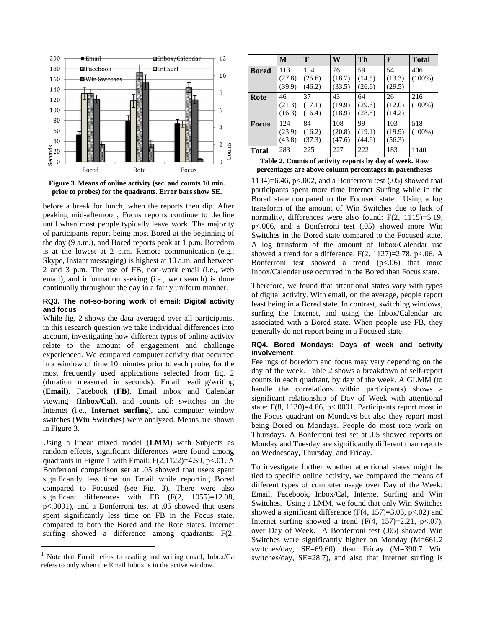

**Figure 3. Means of online activity (sec. and counts 10 min.** 

before a break for lunch, when the reports then dip. After peaking mid-afternoon, Focus reports continue to decline until when most people typically leave work. The majority of participants report being most Bored at the beginning of the day (9 a.m.), and Bored reports peak at 1 p.m. Boredom is at the lowest at 2 p.m. Remote communication (e.g., Skype, Instant messaging) is highest at 10 a.m. and between 2 and 3 p.m. The use of FB, non-work email (i.e., web email), and information seeking (i.e., web search) is done continually throughout the day in a fairly uniform manner.

## **RQ3. The not-so-boring work of email: Digital activity and focus**

While fig. 2 shows the data averaged over all participants, in this research question we take individual differences into account, investigating how different types of online activity relate to the amount of engagement and challenge experienced. We compared computer activity that occurred in a window of time 10 minutes prior to each probe, for the most frequently used applications selected from fig. 2 (duration measured in seconds): Email reading/writing (**Email**), Facebook (**FB**), Email inbox and Calendar viewing<sup>1</sup> (**Inbox/Cal**), and counts of: switches on the Internet (i.e., **Internet surfing**), and computer window switches (**Win Switches**) were analyzed. Means are shown in Figure 3.

Using a linear mixed model (**LMM**) with Subjects as random effects, significant differences were found among quadrants in Figure 1 with Email:  $F(2,1122)=4.59$ , p $< 01$ . A Bonferroni comparison set at .05 showed that users spent significantly less time on Email while reporting Bored compared to Focused (see Fig. 3). There were also significant differences with FB (F(2, 1055)=12.08, p<.0001), and a Bonferroni test at .05 showed that users spent significantly less time on FB in the Focus state, compared to both the Bored and the Rote states. Internet surfing showed a difference among quadrants: F(2,

l

|              | М                       | T                      | W                       | Th                     | F                       | <b>Total</b>     |
|--------------|-------------------------|------------------------|-------------------------|------------------------|-------------------------|------------------|
| <b>Bored</b> | 113<br>(27.8)           | 104<br>(25.6)          | 76<br>(18.7)            | 59<br>(14.5)           | 54<br>(13.3)            | 406<br>$(100\%)$ |
|              | (39.9)                  | (46.2)                 | (33.5)                  | (26.6)                 | (29.5)                  |                  |
| Rote         | 46<br>(21.3)<br>(16.3)  | 37<br>(17.1)<br>(16.4) | 43<br>(19.9)<br>(18.9)  | 64<br>(29.6)<br>(28.8) | 26<br>(12.0)<br>(14.2)  | 216<br>$(100\%)$ |
| <b>Focus</b> | 124<br>(23.9)<br>(43.8) | 84<br>(16.2)<br>(37.3) | 108<br>(20.8)<br>(47.6) | 99<br>(19.1)<br>(44.6) | 103<br>(19.9)<br>(56.3) | 518<br>$(100\%)$ |
| <b>Total</b> | 283<br>- -              | 225                    | 227                     | 222                    | 183                     | 1140             |

| Table 2. Counts of activity reports by day of week. Row |  |
|---------------------------------------------------------|--|
| percentages are above column percentages in parentheses |  |

1134)=6.46, p<.002, and a Bonferroni test  $(.05)$  showed that participants spent more time Internet Surfing while in the Bored state compared to the Focused state. Using a log transform of the amount of Win Switches due to lack of normality, differences were also found: F(2, 1115)=5.19, p<.006, and a Bonferroni test (.05) showed more Win Switches in the Bored state compared to the Focused state. A log transform of the amount of Inbox/Calendar use showed a trend for a difference:  $F(2, 1127)=2.78$ , p<.06. A Bonferroni test showed a trend  $(p<.06)$  that more Inbox/Calendar use occurred in the Bored than Focus state.

Therefore, we found that attentional states vary with types of digital activity. With email, on the average, people report least being in a Bored state. In contrast, switching windows, surfing the Internet, and using the Inbox/Calendar are associated with a Bored state. When people use FB, they generally do not report being in a Focused state.

# **RQ4. Bored Mondays: Days of week and activity involvement**

Feelings of boredom and focus may vary depending on the day of the week. Table 2 shows a breakdown of self-report counts in each quadrant, by day of the week. A GLMM (to handle the correlations within participants) shows a significant relationship of Day of Week with attentional state:  $F(8, 1130)=4.86$ ,  $p<.0001$ . Participants report most in the Focus quadrant on Mondays but also they report most being Bored on Mondays. People do most rote work on Thursdays. A Bonferroni test set at .05 showed reports on Monday and Tuesday are significantly different than reports on Wednesday, Thursday, and Friday.

To investigate further whether attentional states might be tied to specific online activity, we compared the means of different types of computer usage over Day of the Week: Email, Facebook, Inbox/Cal, Internet Surfing and Win Switches. Using a LMM, we found that only Win Switches showed a significant difference  $(F(4, 157)=3.03, p<.02)$  and Internet surfing showed a trend  $(F(4, 157)=2.21, p<.07)$ , over Day of Week. A Bonferroni test (.05) showed Win Switches were significantly higher on Monday (M=661.2 switches/day, SE=69.60) than Friday (M=390.7 Win switches/day, SE=28.7), and also that Internet surfing is

<sup>1</sup> Note that Email refers to reading and writing email; Inbox/Cal refers to only when the Email Inbox is in the active window.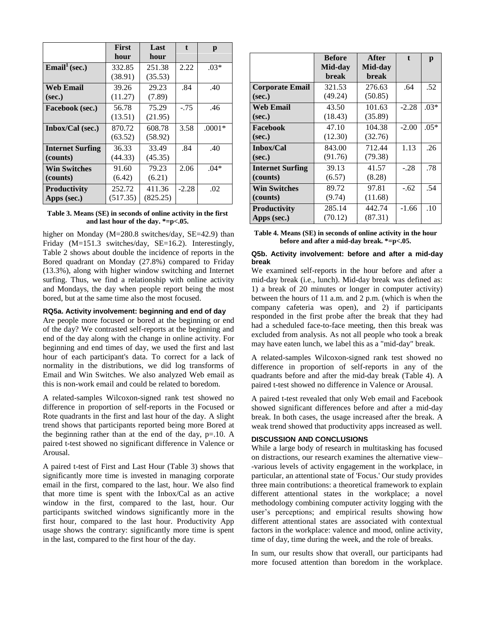|                                     | <b>First</b><br>hour | Last<br>hour       | $\mathbf{t}$ | p        |
|-------------------------------------|----------------------|--------------------|--------------|----------|
| $\overline{\text{Email}}^1$ (sec.)  | 332.85<br>(38.91)    | 251.38<br>(35.53)  | 2.22         | $.03*$   |
| Web Email<br>(sec.)                 | 39.26<br>(11.27)     | 29.23<br>(7.89)    | .84          | .40      |
| Facebook (sec.)                     | 56.78<br>(13.51)     | 75.29<br>(21.95)   | $-.75$       | .46      |
| Inbox/Cal (sec.)                    | 870.72<br>(63.52)    | 608.78<br>(58.92)  | 3.58         | $.0001*$ |
| <b>Internet Surfing</b><br>(counts) | 36.33<br>(44.33)     | 33.49<br>(45.35)   | .84          | .40      |
| <b>Win Switches</b><br>(counts)     | 91.60<br>(6.42)      | 79.23<br>(6.21)    | 2.06         | $.04*$   |
| <b>Productivity</b><br>Apps (sec.)  | 252.72<br>(517.35)   | 411.36<br>(825.25) | $-2.28$      | .02      |

#### **Table 3. Means (SE) in seconds of online activity in the first and last hour of the day. \*=p<.05.**

higher on Monday (M=280.8 switches/day, SE=42.9) than Friday (M=151.3 switches/day, SE=16.2). Interestingly, Table 2 shows about double the incidence of reports in the Bored quadrant on Monday (27.8%) compared to Friday (13.3%), along with higher window switching and Internet surfing. Thus, we find a relationship with online activity and Mondays, the day when people report being the most bored, but at the same time also the most focused.

#### **RQ5a. Activity involvement: beginning and end of day**

Are people more focused or bored at the beginning or end of the day? We contrasted self-reports at the beginning and end of the day along with the change in online activity. For beginning and end times of day, we used the first and last hour of each participant's data. To correct for a lack of normality in the distributions, we did log transforms of Email and Win Switches. We also analyzed Web email as this is non-work email and could be related to boredom.

A related-samples Wilcoxon-signed rank test showed no difference in proportion of self-reports in the Focused or Rote quadrants in the first and last hour of the day. A slight trend shows that participants reported being more Bored at the beginning rather than at the end of the day,  $p=10$ . A paired t-test showed no significant difference in Valence or Arousal.

A paired t-test of First and Last Hour (Table 3) shows that significantly more time is invested in managing corporate email in the first, compared to the last, hour. We also find that more time is spent with the Inbox/Cal as an active window in the first, compared to the last, hour. Our participants switched windows significantly more in the first hour, compared to the last hour. Productivity App usage shows the contrary: significantly more time is spent in the last, compared to the first hour of the day.

|                                     | <b>Before</b><br>Mid-day<br>break | After<br>Mid-day<br>break | $\mathbf{f}$ | p      |
|-------------------------------------|-----------------------------------|---------------------------|--------------|--------|
| <b>Corporate Email</b><br>(sec.)    | 321.53<br>(49.24)                 | 276.63<br>(50.85)         | .64          | .52    |
| <b>Web Email</b><br>(sec.)          | 43.50<br>(18.43)                  | 101.63<br>(35.89)         | $-2.28$      | $.03*$ |
| Facebook<br>(sec.)                  | 47.10<br>(12.30)                  | 104.38<br>(32.76)         | $-2.00$      | $.05*$ |
| Inbox/Cal<br>(sec.)                 | 843.00<br>(91.76)                 | 712.44<br>(79.38)         | 1.13         | .26    |
| <b>Internet Surfing</b><br>(counts) | 39.13<br>(6.57)                   | 41.57<br>(8.28)           | $-.28$       | .78    |
| <b>Win Switches</b><br>(counts)     | 89.72<br>(9.74)                   | 97.81<br>(11.68)          | $-.62$       | .54    |
| <b>Productivity</b><br>Apps (sec.)  | 285.14<br>(70.12)                 | 442.74<br>(87.31)         | $-1.66$      | .10    |

**Table 4. Means (SE) in seconds of online activity in the hour before and after a mid-day break. \*=p<.05.** 

### **Q5b. Activity involvement: before and after a mid-day break**

We examined self-reports in the hour before and after a mid-day break (i.e., lunch). Mid-day break was defined as: 1) a break of 20 minutes or longer in computer activity) between the hours of 11 a.m. and 2 p.m. (which is when the company cafeteria was open), and 2) if participants responded in the first probe after the break that they had had a scheduled face-to-face meeting, then this break was excluded from analysis. As not all people who took a break may have eaten lunch, we label this as a "mid-day" break.

A related-samples Wilcoxon-signed rank test showed no difference in proportion of self-reports in any of the quadrants before and after the mid-day break (Table 4). A paired t-test showed no difference in Valence or Arousal.

A paired t-test revealed that only Web email and Facebook showed significant differences before and after a mid-day break. In both cases, the usage increased after the break. A weak trend showed that productivity apps increased as well.

## **DISCUSSION AND CONCLUSIONS**

While a large body of research in multitasking has focused on distractions, our research examines the alternative view– -various levels of activity engagement in the workplace, in particular, an attentional state of 'Focus.' Our study provides three main contributions: a theoretical framework to explain different attentional states in the workplace; a novel methodology combining computer activity logging with the user's perceptions; and empirical results showing how different attentional states are associated with contextual factors in the workplace: valence and mood, online activity, time of day, time during the week, and the role of breaks.

In sum, our results show that overall, our participants had more focused attention than boredom in the workplace.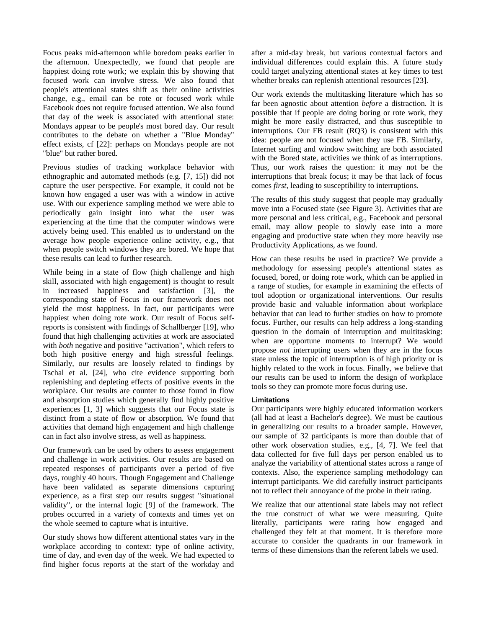Focus peaks mid-afternoon while boredom peaks earlier in the afternoon. Unexpectedly, we found that people are happiest doing rote work; we explain this by showing that focused work can involve stress. We also found that people's attentional states shift as their online activities change, e.g., email can be rote or focused work while Facebook does not require focused attention. We also found that day of the week is associated with attentional state: Mondays appear to be people's most bored day. Our result contributes to the debate on whether a "Blue Monday" effect exists, cf [22]: perhaps on Mondays people are not "blue" but rather bored.

Previous studies of tracking workplace behavior with ethnographic and automated methods (e.g. [\[7,](#page-9-1) [15\]](#page-9-4)) did not capture the user perspective. For example, it could not be known how engaged a user was with a window in active use. With our experience sampling method we were able to periodically gain insight into what the user was experiencing at the time that the computer windows were actively being used. This enabled us to understand on the average how people experience online activity, e.g., that when people switch windows they are bored. We hope that these results can lead to further research.

While being in a state of flow (high challenge and high skill, associated with high engagement) is thought to result in increased happiness and satisfaction [\[3\]](#page-9-9), the corresponding state of Focus in our framework does not yield the most happiness. In fact, our participants were happiest when doing rote work. Our result of Focus selfreports is consistent with findings of Schallberger [\[19\]](#page-9-12), who found that high challenging activities at work are associated with *both* negative and positive "activation", which refers to both high positive energy and high stressful feelings. Similarly, our results are loosely related to findings by Tschal et al. [\[24\]](#page-9-19), who cite evidence supporting both replenishing and depleting effects of positive events in the workplace. Our results are counter to those found in flow and absorption studies which generally find highly positive experiences [\[1,](#page-9-6) [3\]](#page-9-9) which suggests that our Focus state is distinct from a state of flow or absorption. We found that activities that demand high engagement and high challenge can in fact also involve stress, as well as happiness.

Our framework can be used by others to assess engagement and challenge in work activities. Our results are based on repeated responses of participants over a period of five days, roughly 40 hours. Though Engagement and Challenge have been validated as separate dimensions capturing experience, as a first step our results suggest "situational validity", or the internal logic [\[9\]](#page-9-14) of the framework. The probes occurred in a variety of contexts and times yet on the whole seemed to capture what is intuitive.

Our study shows how different attentional states vary in the workplace according to context: type of online activity, time of day, and even day of the week. We had expected to find higher focus reports at the start of the workday and

after a mid-day break, but various contextual factors and individual differences could explain this. A future study could target analyzing attentional states at key times to test whether breaks can replenish attentional resources [\[23\]](#page-9-23).

Our work extends the multitasking literature which has so far been agnostic about attention *before* a distraction. It is possible that if people are doing boring or rote work, they might be more easily distracted, and thus susceptible to interruptions. Our FB result (RQ3) is consistent with this idea: people are not focused when they use FB. Similarly, Internet surfing and window switching are both associated with the Bored state, activities we think of as interruptions. Thus, our work raises the question: it may not be the interruptions that break focus; it may be that lack of focus comes *first*, leading to susceptibility to interruptions.

The results of this study suggest that people may gradually move into a Focused state (see Figure 3). Activities that are more personal and less critical, e.g., Facebook and personal email, may allow people to slowly ease into a more engaging and productive state when they more heavily use Productivity Applications, as we found.

How can these results be used in practice? We provide a methodology for assessing people's attentional states as focused, bored, or doing rote work, which can be applied in a range of studies, for example in examining the effects of tool adoption or organizational interventions. Our results provide basic and valuable information about workplace behavior that can lead to further studies on how to promote focus. Further, our results can help address a long-standing question in the domain of interruption and multitasking: when are opportune moments to interrupt? We would propose *not* interrupting users when they are in the focus state unless the topic of interruption is of high priority or is highly related to the work in focus. Finally, we believe that our results can be used to inform the design of workplace tools so they can promote more focus during use.

#### **Limitations**

Our participants were highly educated information workers (all had at least a Bachelor's degree). We must be cautious in generalizing our results to a broader sample. However, our sample of 32 participants is more than double that of other work observation studies, e.g., [\[4,](#page-9-0) [7\]](#page-9-1). We feel that data collected for five full days per person enabled us to analyze the variability of attentional states across a range of contexts. Also, the experience sampling methodology can interrupt participants. We did carefully instruct participants not to reflect their annoyance of the probe in their rating.

We realize that our attentional state labels may not reflect the true construct of what we were measuring. Quite literally, participants were rating how engaged and challenged they felt at that moment. It is therefore more accurate to consider the quadrants in our framework in terms of these dimensions than the referent labels we used.